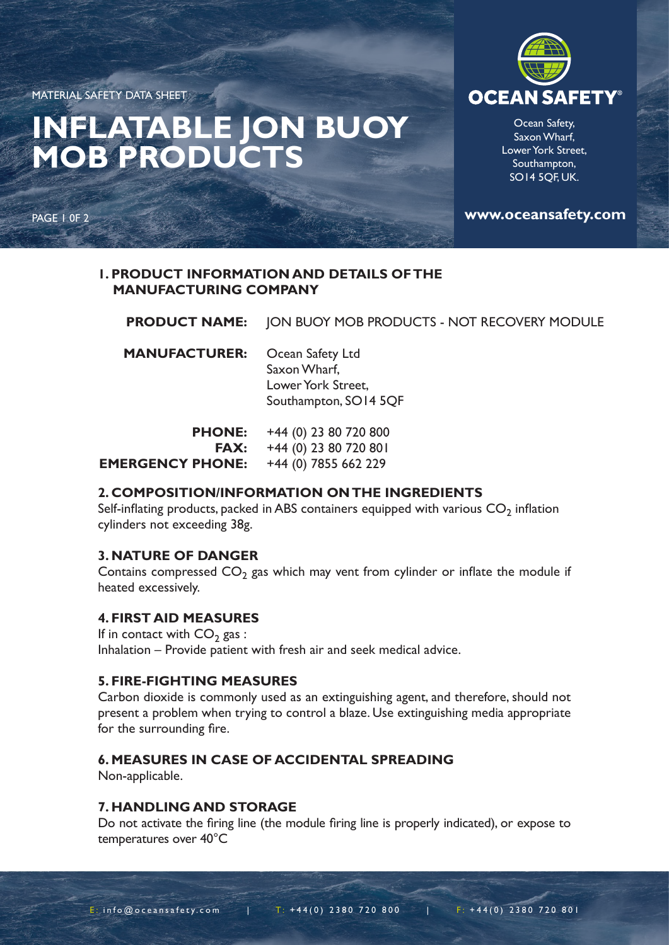MATERIAL SAFETY DATA SHEET

## **INFLATABLE JON BUOY MOB PRODUCTS**

PAGE 1 0F 2



Ocean Safety, Saxon Wharf, Lower York Street, Southampton, SO14 5QF, UK.

**www.oceansafety.com**

## **1. PRODUCT INFORMATION AND DETAILS OF THE MANUFACTURING COMPANY**

|                      | <b>PRODUCT NAME:</b> JON BUOY MOB PRODUCTS - NOT RECOVERY MODULE                |
|----------------------|---------------------------------------------------------------------------------|
| <b>MANUFACTURER:</b> | Ocean Safety Ltd<br>Saxon Wharf,<br>Lower York Street,<br>Southampton, SO14 5QF |
|                      | <b>PHONE:</b> $+44(0)$ 23 80 720 800                                            |

| FNUNE:                  | טעס ט∠ <i>\</i> סט גע (ט) ד <del>יו י</del> |
|-------------------------|---------------------------------------------|
|                         | <b>FAX:</b> $+44(0)$ 23 80 720 801          |
| <b>EMERGENCY PHONE:</b> | +44 (0) 7855 662 229                        |

## **2. COMPOSITION/INFORMATION ON THE INGREDIENTS**

Self-inflating products, packed in ABS containers equipped with various  $CO<sub>2</sub>$  inflation cylinders not exceeding 38g.

## **3. NATURE OF DANGER**

Contains compressed  $CO<sub>2</sub>$  gas which may vent from cylinder or inflate the module if heated excessively.

## **4. FIRST AID MEASURES**

If in contact with  $CO<sub>2</sub>$  gas : Inhalation – Provide patient with fresh air and seek medical advice.

## **5. FIRE-FIGHTING MEASURES**

Carbon dioxide is commonly used as an extinguishing agent, and therefore, should not present a problem when trying to control a blaze. Use extinguishing media appropriate for the surrounding fire.

## **6. MEASURES IN CASE OF ACCIDENTAL SPREADING**

Non-applicable.

## **7. HANDLING AND STORAGE**

Do not activate the firing line (the module firing line is properly indicated), or expose to temperatures over 40°C